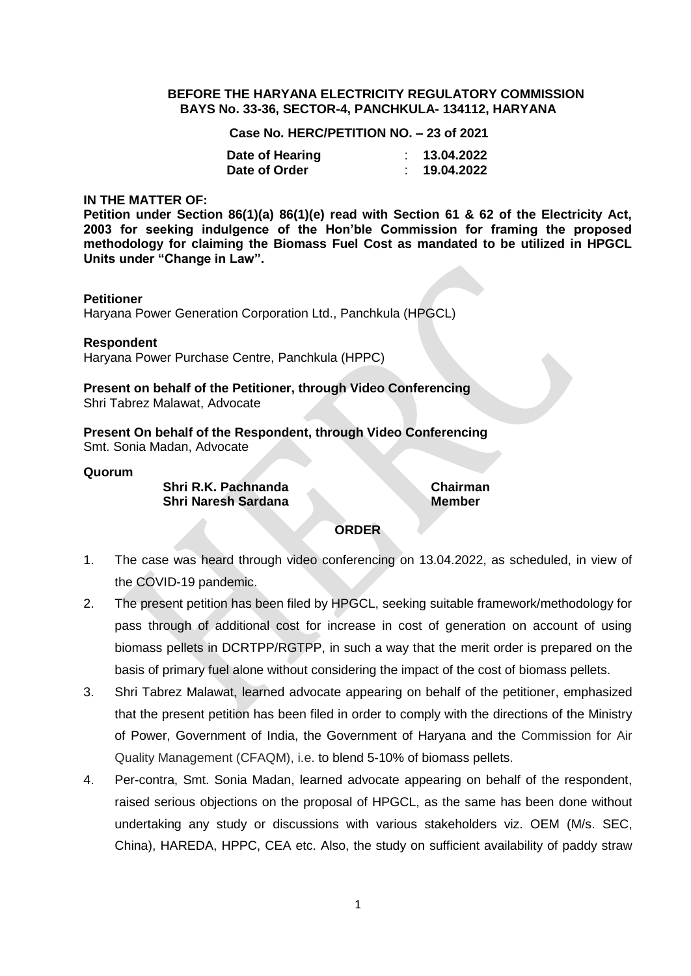### **BEFORE THE HARYANA ELECTRICITY REGULATORY COMMISSION BAYS No. 33-36, SECTOR-4, PANCHKULA- 134112, HARYANA**

**Case No. HERC/PETITION NO. – 23 of 2021**

| Date of Hearing | 13.04.2022 |
|-----------------|------------|
| Date of Order   | 19.04.2022 |

### **IN THE MATTER OF:**

**Petition under Section 86(1)(a) 86(1)(e) read with Section 61 & 62 of the Electricity Act, 2003 for seeking indulgence of the Hon'ble Commission for framing the proposed methodology for claiming the Biomass Fuel Cost as mandated to be utilized in HPGCL Units under "Change in Law".**

## **Petitioner**

Haryana Power Generation Corporation Ltd., Panchkula (HPGCL)

**Respondent** Haryana Power Purchase Centre, Panchkula (HPPC)

**Present on behalf of the Petitioner, through Video Conferencing** Shri Tabrez Malawat, Advocate

**Present On behalf of the Respondent, through Video Conferencing** Smt. Sonia Madan, Advocate

### **Quorum**

**Shri R.K. Pachnanda Chairman Shri Naresh Sardana Member** 

# **ORDER**

- 1. The case was heard through video conferencing on 13.04.2022, as scheduled, in view of the COVID-19 pandemic.
- 2. The present petition has been filed by HPGCL, seeking suitable framework/methodology for pass through of additional cost for increase in cost of generation on account of using biomass pellets in DCRTPP/RGTPP, in such a way that the merit order is prepared on the basis of primary fuel alone without considering the impact of the cost of biomass pellets.
- 3. Shri Tabrez Malawat, learned advocate appearing on behalf of the petitioner, emphasized that the present petition has been filed in order to comply with the directions of the Ministry of Power, Government of India, the Government of Haryana and the Commission for Air Quality Management (CFAQM), i.e. to blend 5-10% of biomass pellets.
- 4. Per-contra, Smt. Sonia Madan, learned advocate appearing on behalf of the respondent, raised serious objections on the proposal of HPGCL, as the same has been done without undertaking any study or discussions with various stakeholders viz. OEM (M/s. SEC, China), HAREDA, HPPC, CEA etc. Also, the study on sufficient availability of paddy straw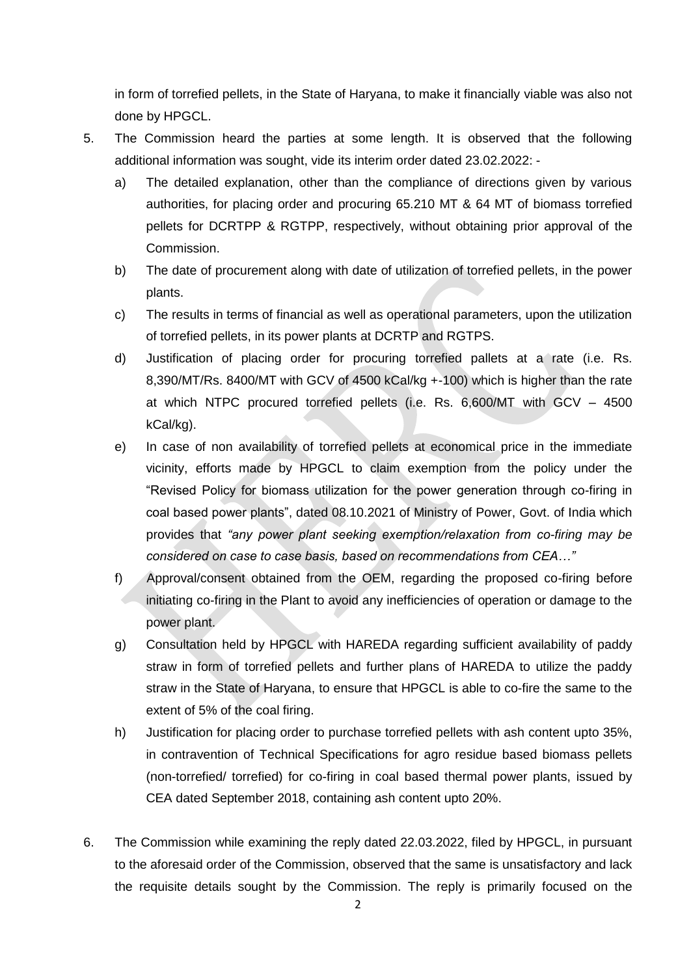in form of torrefied pellets, in the State of Haryana, to make it financially viable was also not done by HPGCL.

- 5. The Commission heard the parties at some length. It is observed that the following additional information was sought, vide its interim order dated 23.02.2022:
	- a) The detailed explanation, other than the compliance of directions given by various authorities, for placing order and procuring 65.210 MT & 64 MT of biomass torrefied pellets for DCRTPP & RGTPP, respectively, without obtaining prior approval of the Commission.
	- b) The date of procurement along with date of utilization of torrefied pellets, in the power plants.
	- c) The results in terms of financial as well as operational parameters, upon the utilization of torrefied pellets, in its power plants at DCRTP and RGTPS.
	- d) Justification of placing order for procuring torrefied pallets at a rate (i.e. Rs. 8,390/MT/Rs. 8400/MT with GCV of 4500 kCal/kg +-100) which is higher than the rate at which NTPC procured torrefied pellets (i.e. Rs. 6,600/MT with GCV – 4500 kCal/kg).
	- e) In case of non availability of torrefied pellets at economical price in the immediate vicinity, efforts made by HPGCL to claim exemption from the policy under the "Revised Policy for biomass utilization for the power generation through co-firing in coal based power plants", dated 08.10.2021 of Ministry of Power, Govt. of India which provides that *"any power plant seeking exemption/relaxation from co-firing may be considered on case to case basis, based on recommendations from CEA…"*
	- f) Approval/consent obtained from the OEM, regarding the proposed co-firing before initiating co-firing in the Plant to avoid any inefficiencies of operation or damage to the power plant.
	- g) Consultation held by HPGCL with HAREDA regarding sufficient availability of paddy straw in form of torrefied pellets and further plans of HAREDA to utilize the paddy straw in the State of Haryana, to ensure that HPGCL is able to co-fire the same to the extent of 5% of the coal firing.
	- h) Justification for placing order to purchase torrefied pellets with ash content upto 35%, in contravention of Technical Specifications for agro residue based biomass pellets (non-torrefied/ torrefied) for co-firing in coal based thermal power plants, issued by CEA dated September 2018, containing ash content upto 20%.
- 6. The Commission while examining the reply dated 22.03.2022, filed by HPGCL, in pursuant to the aforesaid order of the Commission, observed that the same is unsatisfactory and lack the requisite details sought by the Commission. The reply is primarily focused on the